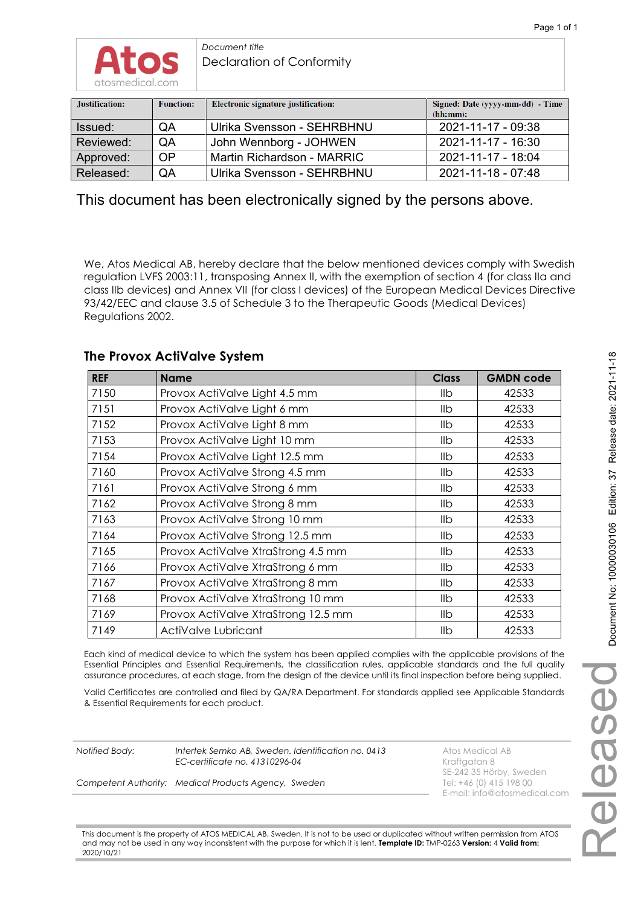| Justification: | <b>Function:</b> | Electronic signature justification: | Signed: Date (yyyy-mm-dd) - Time<br>(hh:mm): |
|----------------|------------------|-------------------------------------|----------------------------------------------|
| Issued:        | QA               | Ulrika Svensson - SEHRBHNU          | 2021-11-17 - 09:38                           |
| Reviewed:      | QA               | John Wennborg - JOHWEN              | 2021-11-17 - 16:30                           |
| Approved:      | <b>OP</b>        | Martin Richardson - MARRIC          | 2021-11-17 - 18:04                           |
| Released:      | QA               | Ulrika Svensson - SEHRBHNU          | 2021-11-18 - 07:48                           |

This document has been electronically signed by the persons above.

We, Atos Medical AB, hereby declare that the below mentioned devices comply with Swedish regulation LVFS 2003:11, transposing Annex II, with the exemption of section 4 (for class IIa and class IIb devices) and Annex VII (for class I devices) of the European Medical Devices Directive 93/42/EEC and clause 3.5 of Schedule 3 to the Therapeutic Goods (Medical Devices) Regulations 2002.

# **The Provox ActiValve System**

| <b>REF</b> | <b>Name</b>                         | <b>Class</b> | <b>GMDN code</b> |
|------------|-------------------------------------|--------------|------------------|
| 7150       | Provox ActiValve Light 4.5 mm       | llb          | 42533            |
| 7151       | Provox ActiValve Light 6 mm         | llb          | 42533            |
| 7152       | Provox ActiValve Light 8 mm         | llb          | 42533            |
| 7153       | Provox ActiValve Light 10 mm        | IIb          | 42533            |
| 7154       | Provox ActiValve Light 12.5 mm      | llb          | 42533            |
| 7160       | Provox ActiValve Strong 4.5 mm      | llb          | 42533            |
| 7161       | Provox ActiValve Strong 6 mm        | llb          | 42533            |
| 7162       | Provox ActiValve Strong 8 mm        | llb          | 42533            |
| 7163       | Provox ActiValve Strong 10 mm       | llb          | 42533            |
| 7164       | Provox ActiValve Strong 12.5 mm     | llb          | 42533            |
| 7165       | Provox ActiValve XtraStrong 4.5 mm  | llb          | 42533            |
| 7166       | Provox ActiValve XtraStrong 6 mm    | llb          | 42533            |
| 7167       | Provox ActiValve XtraStrong 8 mm    | llb          | 42533            |
| 7168       | Provox ActiValve XtraStrong 10 mm   | llb          | 42533            |
| 7169       | Provox ActiValve XtraStrong 12.5 mm | llb          | 42533            |
| 7149       | ActiValve Lubricant                 | llb          | 42533            |

Each kind of medical device to which the system has been applied complies with the applicable provisions of the Essential Principles and Essential Requirements, the classification rules, applicable standards and the full quality assurance procedures, at each stage, from the design of the device until its final inspection before being supplied.

Valid Certificates are controlled and filed by QA/RA Department. For standards applied see Applicable Standards & Essential Requirements for each product.

**Notified Body:** Intertek Semko AB, Sweden. Identification no. 0413 Atos Medical AB *EC-certificate no. 41310296-04* **Kraftgatan 8** 

*Competent Authority: Medical Products Agency, Sweden* 

SE-242 35 Hörby, Sweden E-mail: info@atosmedical.com

This document is the property of ATOS MEDICAL AB, Sweden. It is not to be used or duplicated without written permission from ATOS and may not be used in any way inconsistent with the purpose for which it is lent. **Template ID:** TMP-0263 **Version:** 4 **Valid from:** 2020/10/21

Released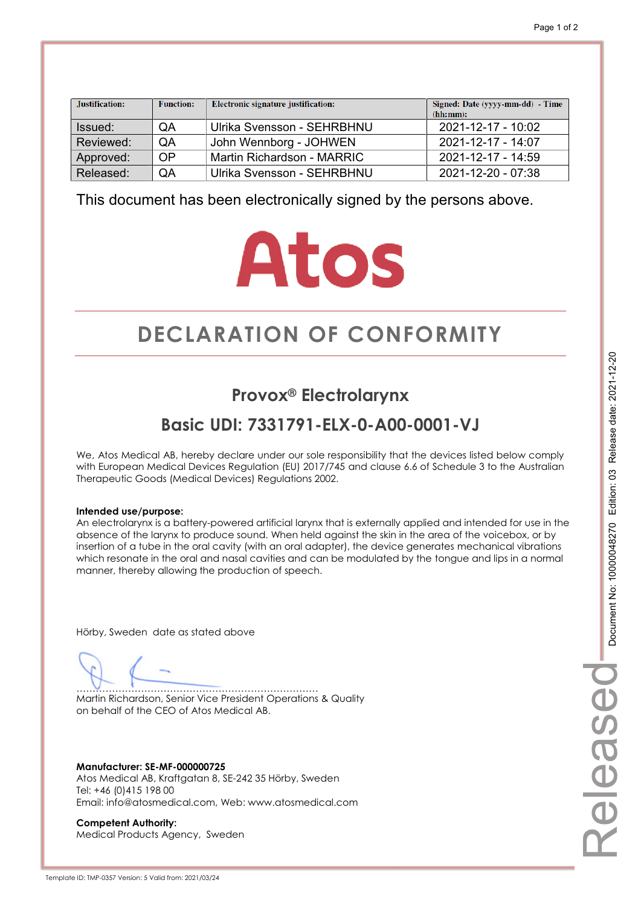| Justification: | <b>Function:</b> | Electronic signature justification: | Signed: Date (yyyy-mm-dd) - Time<br>(hh:mm): |
|----------------|------------------|-------------------------------------|----------------------------------------------|
| Issued:        | QA               | Ulrika Svensson - SEHRBHNU          | 2021-12-17 - 10:02                           |
| Reviewed:      | QA               | John Wennborg - JOHWEN              | $2021 - 12 - 17 - 14.07$                     |
| Approved:      | <b>OP</b>        | Martin Richardson - MARRIC          | 2021-12-17 - 14:59                           |
| Released:      | QA               | Ulrika Svensson - SEHRBHNU          | 2021-12-20 - 07:38                           |

This document has been electronically signed by the persons above.

# **Atos**

# **DECLARATION OF CONFORMITY CONFORMITY**

# **Provox® Electrolarynx**

# **Basic UDI: 7331791-ELX-0-A00-0001-VJ**

We, Atos Medical AB, hereby declare under our sole responsibility that the devices listed below comply with European Medical Devices Regulation (EU) 2017/745 and clause 6.6 of Schedule 3 to the Australian Therapeutic Goods (Medical Devices) Regulations 2002.

## **Intended use/purpose:**

An electrolarynx is a battery-powered artificial larynx that is externally applied and intended for use in the absence of the larynx to produce sound. When held against the skin in the area of the voicebox, or by insertion of a tube in the oral cavity (with an oral adapter), the device generates mechanical vibrations which resonate in the oral and nasal cavities and can be modulated by the tongue and lips in a normal manner, thereby allowing the production of speech.

Hörby, Sweden date as stated above

………………………………………………………………… Martin Richardson, Senior Vice President Operations & Quality on behalf of the CEO of Atos Medical AB.

**Manufacturer: SE-MF-000000725**  Atos Medical AB, Kraftgatan 8, SE-242 35 Hörby, Sweden Tel: +46 (0)415 198 00 Email: info@atosmedical.com, Web: www.atosmedical.com

**Competent Authority:**  Medical Products Agency, Sweden elease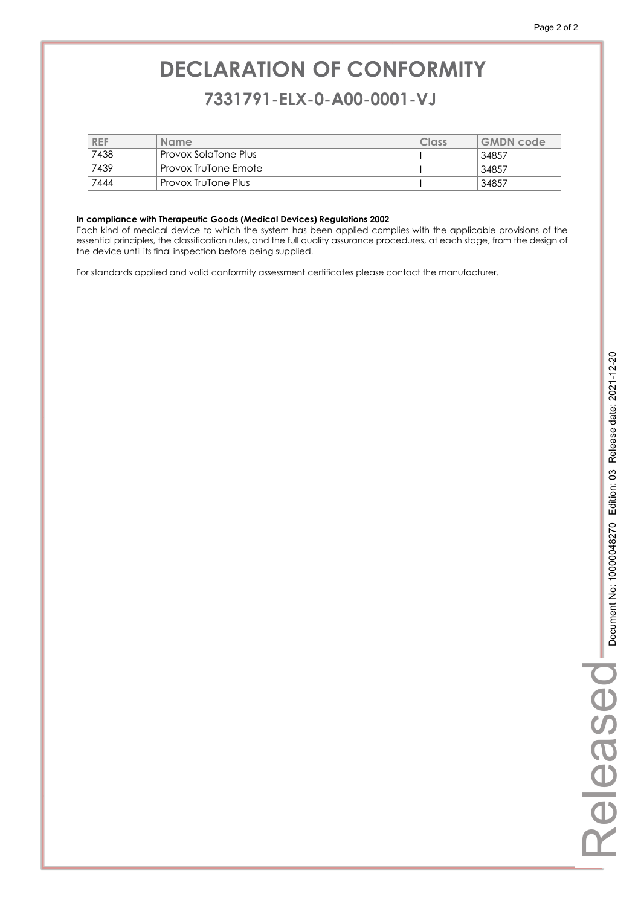# **DECLARATION OF CONFORMITY CONFORMITY 7331791-ELX-0-A00-0001-VJ 7331791-ELX-0-A00-0001-VJ**

| <b>REF</b> | <b>Name</b>          | Class | <b>GMDN</b> code |
|------------|----------------------|-------|------------------|
| 7438       | Provox SolaTone Plus |       | 34857            |
| 7439       | Provox TruTone Emote |       | 34857            |
| 7444       | Provox TruTone Plus  |       | 34857            |

#### **In compliance with Therapeutic Goods (Medical Devices) Regulations 2002**

Each kind of medical device to which the system has been applied complies with the applicable provisions of the essential principles, the classification rules, and the full quality assurance procedures, at each stage, from the design of the device until its final inspection before being supplied.

For standards applied and valid conformity assessment certificates please contact the manufacturer.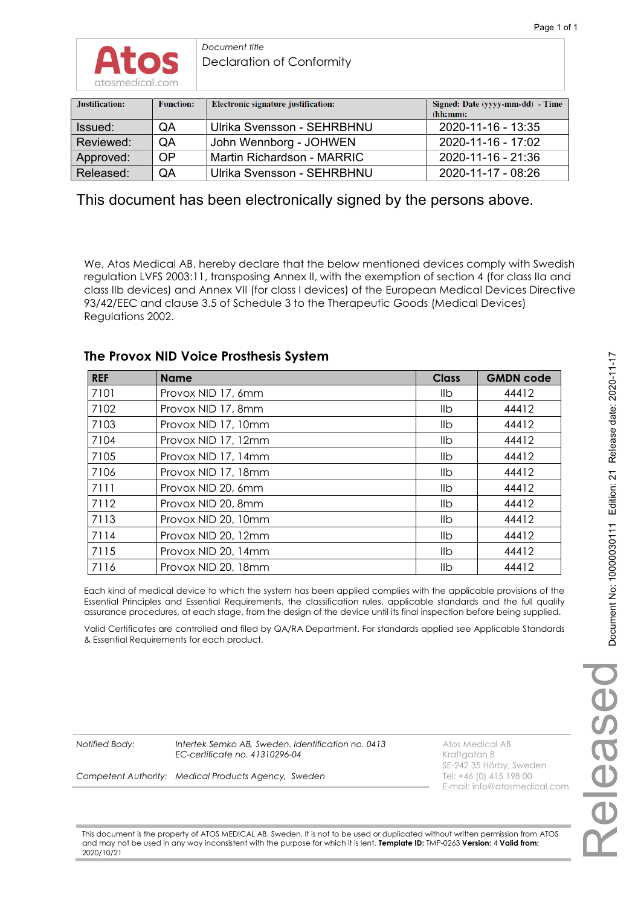

| Justification: | <b>Function:</b> | Electronic signature justification: | Signed: Date (yyyy-mm-dd) - Time<br>(hh:mm): |
|----------------|------------------|-------------------------------------|----------------------------------------------|
| Issued:        | QA               | Ulrika Svensson - SEHRBHNU          | 2020-11-16 - 13:35                           |
| Reviewed:      | <b>OA</b>        | John Wennborg - JOHWEN              | 2020-11-16 - 17:02                           |
| Approved:      | <b>OP</b>        | Martin Richardson - MARRIC          | 2020-11-16 - 21:36                           |
| Released:      | QA               | Ulrika Svensson - SEHRBHNU          | 2020-11-17 - 08:26                           |

This document has been electronically signed by the persons above.

We, Atos Medical AB, hereby declare that the below mentioned devices comply with Swedish regulation LVFS 2003:11, transposing Annex II, with the exemption of section 4 (for class IIa and class IIb devices) and Annex VII (for class I devices) of the European Medical Devices Directive 93/42/EEC and clause 3.5 of Schedule 3 to the Therapeutic Goods (Medical Devices) Regulations 2002.

## **The Provox NID Voice Prosthesis System**

| <b>REF</b> | <b>Name</b>         | <b>Class</b>   | <b>GMDN code</b> |
|------------|---------------------|----------------|------------------|
| 7101       | Provox NID 17, 6mm  | llb            | 44412            |
| 7102       | Provox NID 17, 8mm  | llb.           | 44412            |
| 7103       | Provox NID 17, 10mm | llb.           | 44412            |
| 7104       | Provox NID 17, 12mm | llb.           | 44412            |
| 7105       | Provox NID 17, 14mm | llb            | 44412            |
| 7106       | Provox NID 17, 18mm | llb.           | 44412            |
| 7111       | Provox NID 20, 6mm  | llb.           | 44412            |
| 7112       | Provox NID 20, 8mm  | llb.           | 44412            |
| 7113       | Provox NID 20, 10mm | llb            | 44412            |
| 7114       | Provox NID 20, 12mm | llb            | 44412            |
| 7115       | Provox NID 20, 14mm | llb.           | 44412            |
| 7116       | Provox NID 20, 18mm | I <sub>1</sub> | 44412            |

Each kind of medical device to which the system has been applied complies with the applicable provisions of the Essential Principles and Essential Requirements, the classification rules, applicable standards and the full quality assurance procedures, at each stage, from the design of the device until its final inspection before being supplied.

Valid Certificates are controlled and filed by QA/RA Department. For standards applied see Applicable Standards & Essential Requirements for each product.

**Notified Body:** Intertek Semko AB, Sweden. Identification no. 0413 Atos Medical AB *EC-certificate no. 41310296-04* **Kraftgatan 8** 

*Competent Authority: Medical Products Agency, Sweden* 

SE-242 35 Hörby, Sweden<br>Tel: +46 (0) 415 198 00 E-mail: info@atosmedical.com

This document is the property of ATOS MEDICAL AB, Sweden. It is not to be used or duplicated without written permission from ATOS and may not be used in any way inconsistent with the purpose for which it is lent. **Template ID:** TMP-0263 **Version:** 4 **Valid from:** 2020/10/21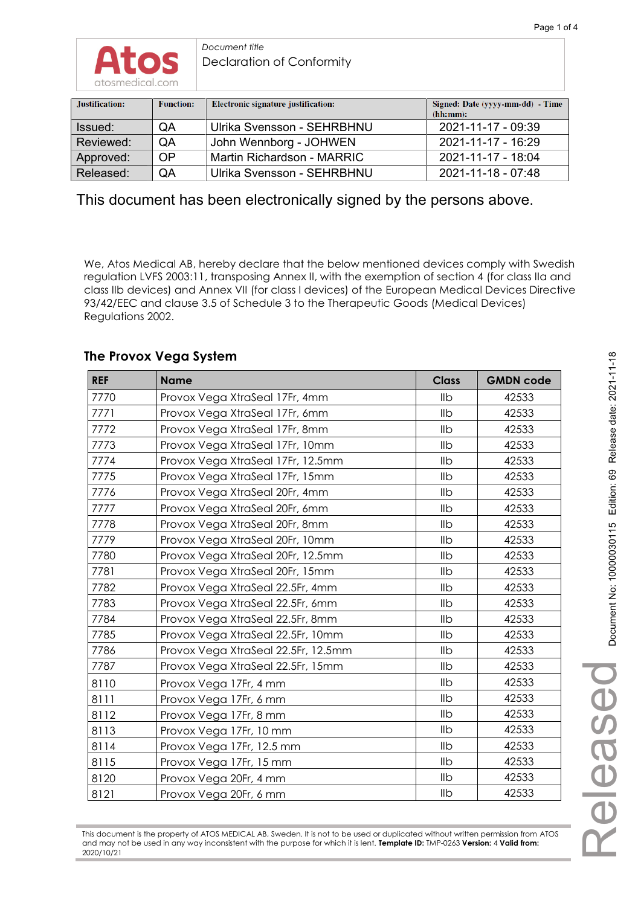

| Justification: | <b>Function:</b> | Electronic signature justification: | Signed: Date (yyyy-mm-dd) - Time<br>(hh:mm): |
|----------------|------------------|-------------------------------------|----------------------------------------------|
| Issued:        | QA               | Ulrika Svensson - SEHRBHNU          | 2021-11-17 - 09:39                           |
| Reviewed:      | <b>OA</b>        | John Wennborg - JOHWEN              | 2021-11-17 - 16:29                           |
| Approved:      | <b>OP</b>        | Martin Richardson - MARRIC          | 2021-11-17 - 18:04                           |
| Released:      | QA               | Ulrika Svensson - SEHRBHNU          | 2021-11-18 - 07:48                           |

This document has been electronically signed by the persons above.

We, Atos Medical AB, hereby declare that the below mentioned devices comply with Swedish regulation LVFS 2003:11, transposing Annex II, with the exemption of section 4 (for class IIa and class IIb devices) and Annex VII (for class I devices) of the European Medical Devices Directive 93/42/EEC and clause 3.5 of Schedule 3 to the Therapeutic Goods (Medical Devices) Regulations 2002.

# **The Provox Vega System**

| <b>REF</b> | <b>Name</b>                         | <b>Class</b> | <b>GMDN code</b> |
|------------|-------------------------------------|--------------|------------------|
| 7770       | Provox Vega XtraSeal 17Fr, 4mm      | Ilb          | 42533            |
| 7771       | Provox Vega XtraSeal 17Fr, 6mm      | IIb          | 42533            |
| 7772       | Provox Vega XtraSeal 17Fr, 8mm      | Ilb          | 42533            |
| 7773       | Provox Vega XtraSeal 17Fr, 10mm     | Ilb          | 42533            |
| 7774       | Provox Vega XtraSeal 17Fr, 12.5mm   | IIb          | 42533            |
| 7775       | Provox Vega XtraSeal 17Fr, 15mm     | IIb          | 42533            |
| 7776       | Provox Vega XtraSeal 20Fr, 4mm      | IIb          | 42533            |
| 7777       | Provox Vega XtraSeal 20Fr, 6mm      | IIb          | 42533            |
| 7778       | Provox Vega XtraSeal 20Fr, 8mm      | IIb          | 42533            |
| 7779       | Provox Vega XtraSeal 20Fr, 10mm     | IIb          | 42533            |
| 7780       | Provox Vega XtraSeal 20Fr, 12.5mm   | IIb          | 42533            |
| 7781       | Provox Vega XtraSeal 20Fr, 15mm     | IIb          | 42533            |
| 7782       | Provox Vega XtraSeal 22.5Fr, 4mm    | IIb          | 42533            |
| 7783       | Provox Vega XtraSeal 22.5Fr, 6mm    | Ilb          | 42533            |
| 7784       | Provox Vega XtraSeal 22.5Fr, 8mm    | IIb          | 42533            |
| 7785       | Provox Vega XtraSeal 22.5Fr, 10mm   | Ilb          | 42533            |
| 7786       | Provox Vega XtraSeal 22.5Fr, 12.5mm | Ilb          | 42533            |
| 7787       | Provox Vega XtraSeal 22.5Fr, 15mm   | Ilb          | 42533            |
| 8110       | Provox Vega 17Fr, 4 mm              | Ilb          | 42533            |
| 8111       | Provox Vega 17Fr, 6 mm              | IIb          | 42533            |
| 8112       | Provox Vega 17Fr, 8 mm              | IIb          | 42533            |
| 8113       | Provox Vega 17Fr, 10 mm             | IIb          | 42533            |
| 8114       | Provox Vega 17Fr, 12.5 mm           | IIb          | 42533            |
| 8115       | Provox Vega 17Fr, 15 mm             | Ilb          | 42533            |
| 8120       | Provox Vega 20Fr, 4 mm              | IIb          | 42533            |
| 8121       | Provox Vega 20Fr, 6 mm              | IIb          | 42533            |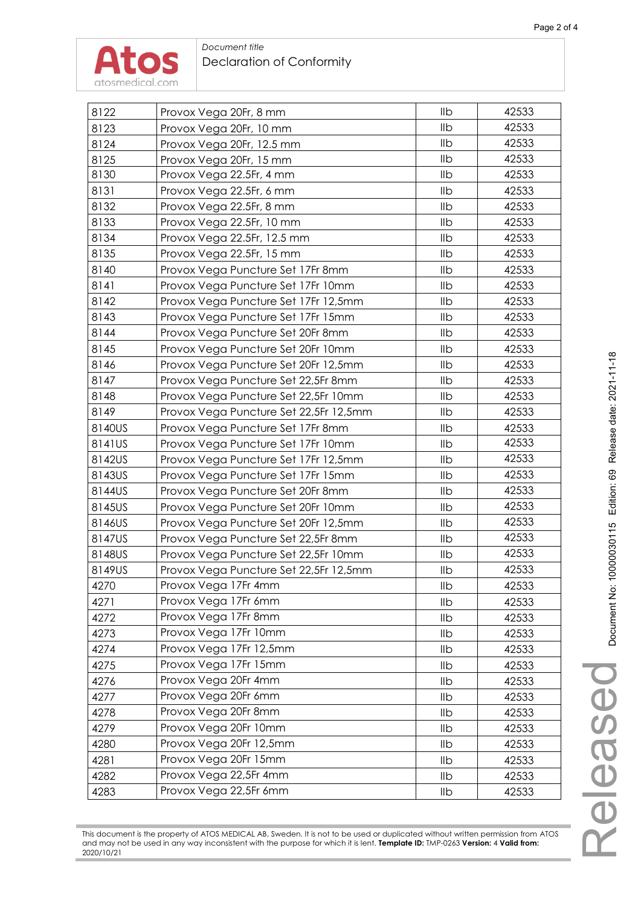

| 8122   | Provox Vega 20Fr, 8 mm                 | llb | 42533 |
|--------|----------------------------------------|-----|-------|
| 8123   | Provox Vega 20Fr, 10 mm                | Ilb | 42533 |
| 8124   | Provox Vega 20Fr, 12.5 mm              | IIb | 42533 |
| 8125   | Provox Vega 20Fr, 15 mm                | Ilb | 42533 |
| 8130   | Provox Vega 22.5Fr, 4 mm               | IIb | 42533 |
| 8131   | Provox Vega 22.5Fr, 6 mm               | Ilb | 42533 |
| 8132   | Provox Vega 22.5Fr, 8 mm               | IIb | 42533 |
| 8133   | Provox Vega 22.5Fr, 10 mm              | Ilb | 42533 |
| 8134   | Provox Vega 22.5Fr, 12.5 mm            | IIb | 42533 |
| 8135   | Provox Vega 22.5Fr, 15 mm              | Ilb | 42533 |
| 8140   | Provox Vega Puncture Set 17Fr 8mm      | Ilb | 42533 |
| 8141   | Provox Vega Puncture Set 17Fr 10mm     | IIb | 42533 |
| 8142   | Provox Vega Puncture Set 17Fr 12,5mm   | IIb | 42533 |
| 8143   | Provox Vega Puncture Set 17Fr 15mm     | IIb | 42533 |
| 8144   | Provox Vega Puncture Set 20Fr 8mm      | Ilb | 42533 |
| 8145   | Provox Vega Puncture Set 20Fr 10mm     | IIb | 42533 |
| 8146   | Provox Vega Puncture Set 20Fr 12,5mm   | IIb | 42533 |
| 8147   | Provox Vega Puncture Set 22,5Fr 8mm    | IIb | 42533 |
| 8148   | Provox Vega Puncture Set 22,5Fr 10mm   | IIb | 42533 |
| 8149   | Provox Vega Puncture Set 22,5Fr 12,5mm | Ilb | 42533 |
| 8140US | Provox Vega Puncture Set 17Fr 8mm      | Ilb | 42533 |
| 8141US | Provox Vega Puncture Set 17Fr 10mm     | IIb | 42533 |
| 8142US | Provox Vega Puncture Set 17Fr 12,5mm   | IIb | 42533 |
| 8143US | Provox Vega Puncture Set 17Fr 15mm     | IIb | 42533 |
| 8144US | Provox Vega Puncture Set 20Fr 8mm      | IIb | 42533 |
| 8145US | Provox Vega Puncture Set 20Fr 10mm     | Ilb | 42533 |
| 8146US | Provox Vega Puncture Set 20Fr 12,5mm   | Ilb | 42533 |
| 8147US | Provox Vega Puncture Set 22,5Fr 8mm    | IIb | 42533 |
| 8148US | Provox Vega Puncture Set 22,5Fr 10mm   | IIb | 42533 |
| 8149US | Provox Vega Puncture Set 22,5Fr 12,5mm | Ilb | 42533 |
| 4270   | Provox Vega 17Fr 4mm                   | Ilb | 42533 |
| 4271   | Provox Vega 17Fr 6mm                   | IIb | 42533 |
| 4272   | Provox Vega 17Fr 8mm                   | IIb | 42533 |
| 4273   | Provox Vega 17Fr 10mm                  | llb | 42533 |
| 4274   | Provox Vega 17Fr 12,5mm                | IIb | 42533 |
| 4275   | Provox Vega 17Fr 15mm                  | llb | 42533 |
| 4276   | Provox Vega 20Fr 4mm                   | IIb | 42533 |
| 4277   | Provox Vega 20Fr 6mm                   | llb | 42533 |
| 4278   | Provox Vega 20Fr 8mm                   | llb | 42533 |
| 4279   | Provox Vega 20Fr 10mm                  | llb | 42533 |
| 4280   | Provox Vega 20Fr 12,5mm                | llb | 42533 |
| 4281   | Provox Vega 20Fr 15mm                  | llb | 42533 |
| 4282   | Provox Vega 22,5Fr 4mm                 | llb | 42533 |
| 4283   | Provox Vega 22,5Fr 6mm                 | llb | 42533 |
|        |                                        |     |       |

Released

This document is the property of ATOS MEDICAL AB, Sweden. It is not to be used or duplicated without written permission from ATOS and may not be used in any way inconsistent with the purpose for which it is lent. **Template ID:** TMP-0263 **Version:** 4 **Valid from:** 2020/10/21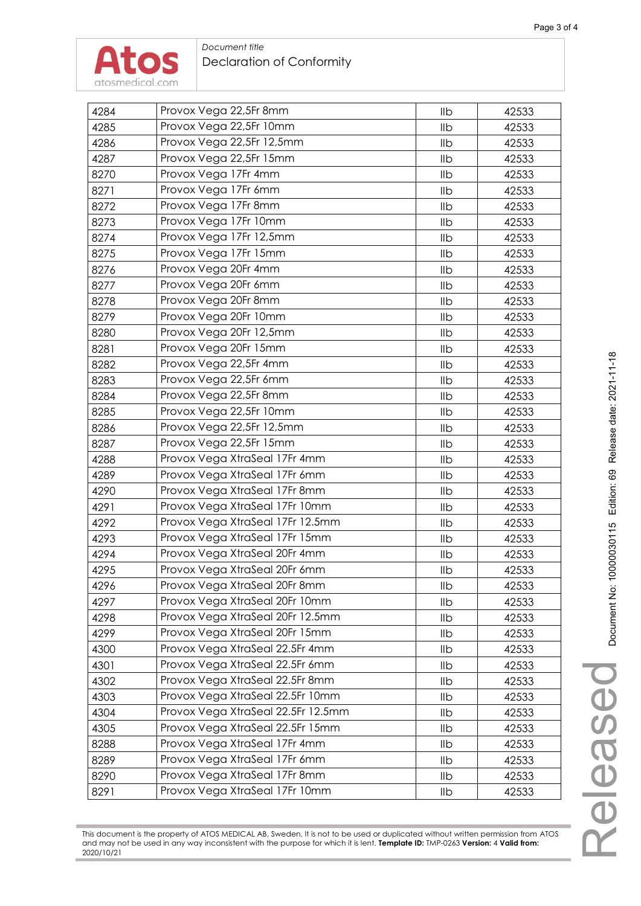

2020/10/21

## *Document title*  Declaration of Conformity

| 4284 | Provox Vega 22,5Fr 8mm             | llb | 42533 |
|------|------------------------------------|-----|-------|
| 4285 | Provox Vega 22,5Fr 10mm            | Ilb | 42533 |
| 4286 | Provox Vega 22,5Fr 12,5mm          | IIb | 42533 |
| 4287 | Provox Vega 22,5Fr 15mm            | llb | 42533 |
| 8270 | Provox Vega 17Fr 4mm               | llb | 42533 |
| 8271 | Provox Vega 17Fr 6mm               | Ilb | 42533 |
| 8272 | Provox Vega 17Fr 8mm               | IIb | 42533 |
| 8273 | Provox Vega 17Fr 10mm              | Ilb | 42533 |
| 8274 | Provox Vega 17Fr 12,5mm            | Ilb | 42533 |
| 8275 | Provox Vega 17Fr 15mm              | Ilb | 42533 |
| 8276 | Provox Vega 20Fr 4mm               | Ilb | 42533 |
| 8277 | Provox Vega 20Fr 6mm               | IIb | 42533 |
| 8278 | Provox Vega 20Fr 8mm               | Ilb | 42533 |
| 8279 | Provox Vega 20Fr 10mm              | Ilb | 42533 |
| 8280 | Provox Vega 20Fr 12,5mm            | Ilb | 42533 |
| 8281 | Provox Vega 20Fr 15mm              | Ilb | 42533 |
| 8282 | Provox Vega 22,5Fr 4mm             | Ilb | 42533 |
| 8283 | Provox Vega 22,5Fr 6mm             | Ilb | 42533 |
| 8284 | Provox Vega 22,5Fr 8mm             | IIb | 42533 |
| 8285 | Provox Vega 22,5Fr 10mm            | Ilb | 42533 |
| 8286 | Provox Vega 22,5Fr 12,5mm          | Ilb | 42533 |
| 8287 | Provox Vega 22,5Fr 15mm            | Ilb | 42533 |
| 4288 | Provox Vega XtraSeal 17Fr 4mm      | Ilb | 42533 |
| 4289 | Provox Vega XtraSeal 17Fr 6mm      | IIb | 42533 |
| 4290 | Provox Vega XtraSeal 17Fr 8mm      | Ilb | 42533 |
| 4291 | Provox Vega XtraSeal 17Fr 10mm     | Ilb | 42533 |
| 4292 | Provox Vega XtraSeal 17Fr 12.5mm   | Ilb | 42533 |
| 4293 | Provox Vega XtraSeal 17Fr 15mm     | IIb | 42533 |
| 4294 | Provox Vega XtraSeal 20Fr 4mm      | Ilb | 42533 |
| 4295 | Provox Vega XtraSeal 20Fr 6mm      | Ilb | 42533 |
| 4296 | Provox Vega XtraSeal 20Fr 8mm      | Ilb | 42533 |
| 4297 | Provox Vega XtraSeal 20Fr 10mm     | IIb | 42533 |
| 4298 | Provox Vega XtraSeal 20Fr 12.5mm   | IIb | 42533 |
| 4299 | Provox Vega XtraSeal 20Fr 15mm     | llb | 42533 |
| 4300 | Provox Vega XtraSeal 22.5Fr 4mm    | IIb | 42533 |
| 4301 | Provox Vega XtraSeal 22.5Fr 6mm    | llb | 42533 |
| 4302 | Provox Vega XtraSeal 22.5Fr 8mm    | IIb | 42533 |
| 4303 | Provox Vega XtraSeal 22.5Fr 10mm   | llb | 42533 |
| 4304 | Provox Vega XtraSeal 22.5Fr 12.5mm | llb | 42533 |
| 4305 | Provox Vega XtraSeal 22.5Fr 15mm   | llb | 42533 |
| 8288 | Provox Vega XtraSeal 17Fr 4mm      | IIb | 42533 |
| 8289 | Provox Vega XtraSeal 17Fr 6mm      | llb | 42533 |
| 8290 | Provox Vega XtraSeal 17Fr 8mm      | llb | 42533 |
| 8291 | Provox Vega XtraSeal 17Fr 10mm     | llb | 42533 |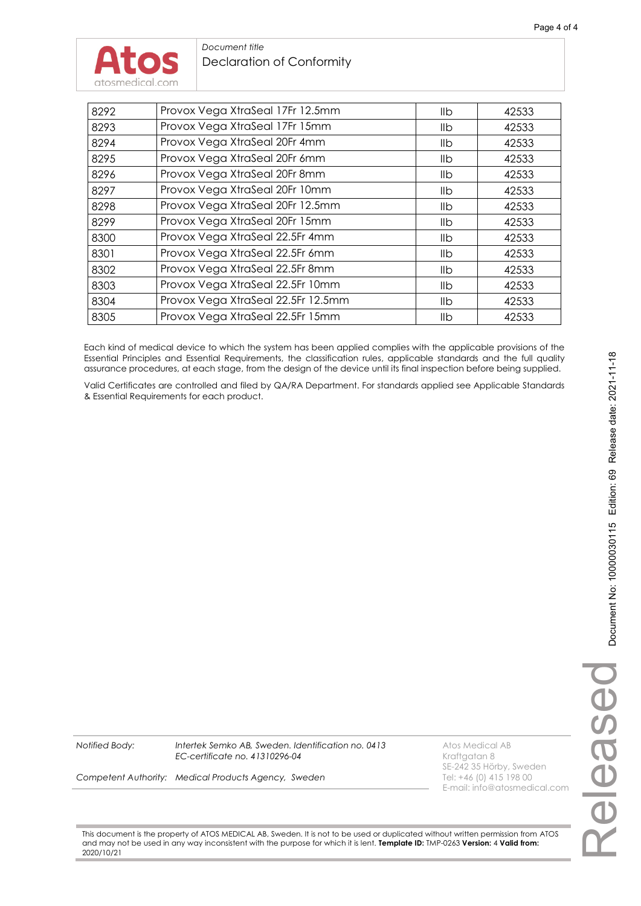

| 8292 | Provox Vega XtraSeal 17Fr 12.5mm   | llb | 42533 |
|------|------------------------------------|-----|-------|
| 8293 | Provox Vega XtraSeal 17Fr 15mm     | llb | 42533 |
| 8294 | Provox Vega XtraSeal 20Fr 4mm      | llb | 42533 |
| 8295 | Provox Vega XtraSeal 20Fr 6mm      | llb | 42533 |
| 8296 | Provox Vega XtraSeal 20Fr 8mm      | llb | 42533 |
| 8297 | Provox Vega XtraSeal 20Fr 10mm     | llb | 42533 |
| 8298 | Provox Vega XtraSeal 20Fr 12.5mm   | llb | 42533 |
| 8299 | Provox Vega XtraSeal 20Fr 15mm     | llb | 42533 |
| 8300 | Provox Vega XtraSeal 22.5Fr 4mm    | llb | 42533 |
| 8301 | Provox Vega XtraSeal 22.5Fr 6mm    | llb | 42533 |
| 8302 | Provox Vega XtraSeal 22.5Fr 8mm    | llb | 42533 |
| 8303 | Provox Vega XtraSeal 22.5Fr 10mm   | llb | 42533 |
| 8304 | Provox Vega XtraSeal 22.5Fr 12.5mm | llb | 42533 |
| 8305 | Provox Vega XtraSeal 22.5Fr 15mm   | llb | 42533 |

Each kind of medical device to which the system has been applied complies with the applicable provisions of the Essential Principles and Essential Requirements, the classification rules, applicable standards and the full quality assurance procedures, at each stage, from the design of the device until its final inspection before being supplied.

Valid Certificates are controlled and filed by QA/RA Department. For standards applied see Applicable Standards & Essential Requirements for each product.

*Notified Body: Intertek Semko AB, Sweden. Identification no. 0413* Atos Medical AB *EC-certificate no. 41310296-04* **Kraftgatan 8** 

**Competent Authority: Medical Products Agency, Sweden** Tel: +46 (0) 415 198 00

SE-242 35 Hörby, Sweden E-mail: info@atosmedical.com

This document is the property of ATOS MEDICAL AB, Sweden. It is not to be used or duplicated without written permission from ATOS and may not be used in any way inconsistent with the purpose for which it is lent. **Template ID:** TMP-0263 **Version:** 4 **Valid from:** 2020/10/21